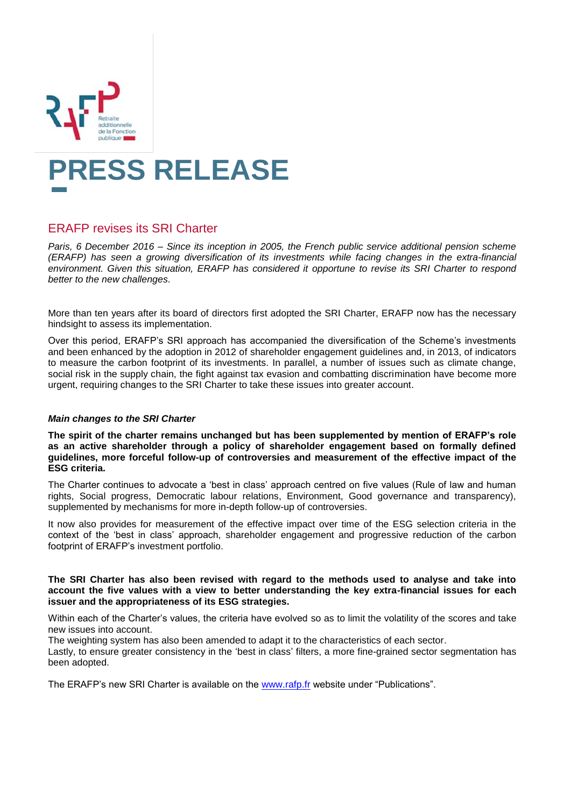

# **PRESS RELEASE**

# ERAFP revises its SRI Charter

*Paris, 6 December 2016 – Since its inception in 2005, the French public service additional pension scheme (ERAFP) has seen a growing diversification of its investments while facing changes in the extra-financial environment. Given this situation, ERAFP has considered it opportune to revise its SRI Charter to respond better to the new challenges.*

More than ten years after its board of directors first adopted the SRI Charter, ERAFP now has the necessary hindsight to assess its implementation.

Over this period, ERAFP's SRI approach has accompanied the diversification of the Scheme's investments and been enhanced by the adoption in 2012 of shareholder engagement guidelines and, in 2013, of indicators to measure the carbon footprint of its investments. In parallel, a number of issues such as climate change, social risk in the supply chain, the fight against tax evasion and combatting discrimination have become more urgent, requiring changes to the SRI Charter to take these issues into greater account.

## *Main changes to the SRI Charter*

**The spirit of the charter remains unchanged but has been supplemented by mention of ERAFP's role as an active shareholder through a policy of shareholder engagement based on formally defined guidelines, more forceful follow-up of controversies and measurement of the effective impact of the ESG criteria.**

The Charter continues to advocate a 'best in class' approach centred on five values (Rule of law and human rights, Social progress, Democratic labour relations, Environment, Good governance and transparency), supplemented by mechanisms for more in-depth follow-up of controversies.

It now also provides for measurement of the effective impact over time of the ESG selection criteria in the context of the 'best in class' approach, shareholder engagement and progressive reduction of the carbon footprint of ERAFP's investment portfolio.

### **The SRI Charter has also been revised with regard to the methods used to analyse and take into account the five values with a view to better understanding the key extra-financial issues for each issuer and the appropriateness of its ESG strategies.**

Within each of the Charter's values, the criteria have evolved so as to limit the volatility of the scores and take new issues into account.

The weighting system has also been amended to adapt it to the characteristics of each sector.

Lastly, to ensure greater consistency in the 'best in class' filters, a more fine-grained sector segmentation has been adopted.

The ERAFP's new SRI Charter is available on the [www.rafp.fr](http://www.rafp.fr/) website under "Publications".